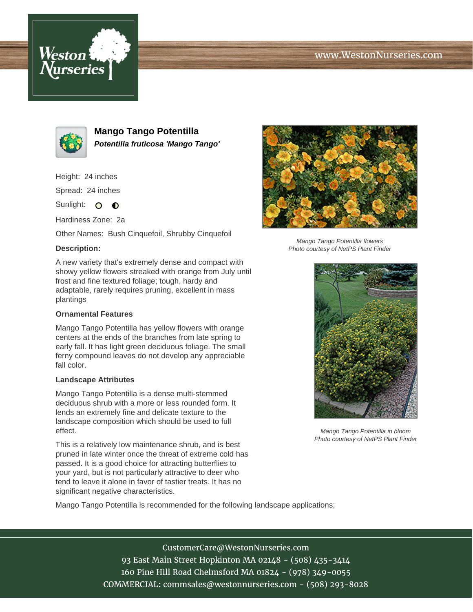# www.WestonNurseries.com





**Mango Tango Potentilla Potentilla fruticosa 'Mango Tango'**

Height: 24 inches

Spread: 24 inches

Sunlight: O **O** 

Hardiness Zone: 2a

Other Names: Bush Cinquefoil, Shrubby Cinquefoil

## **Description:**

A new variety that's extremely dense and compact with showy yellow flowers streaked with orange from July until frost and fine textured foliage; tough, hardy and adaptable, rarely requires pruning, excellent in mass plantings

### **Ornamental Features**

Mango Tango Potentilla has yellow flowers with orange centers at the ends of the branches from late spring to early fall. It has light green deciduous foliage. The small ferny compound leaves do not develop any appreciable fall color.

#### **Landscape Attributes**

Mango Tango Potentilla is a dense multi-stemmed deciduous shrub with a more or less rounded form. It lends an extremely fine and delicate texture to the landscape composition which should be used to full effect.

This is a relatively low maintenance shrub, and is best pruned in late winter once the threat of extreme cold has passed. It is a good choice for attracting butterflies to your yard, but is not particularly attractive to deer who tend to leave it alone in favor of tastier treats. It has no significant negative characteristics.



CustomerCare@WestonNurseries.com 93 East Main Street Hopkinton MA 02148 - (508) 435-3414 160 Pine Hill Road Chelmsford MA 01824 - (978) 349-0055 COMMERCIAL: commsales@westonnurseries.com - (508) 293-8028



Mango Tango Potentilla flowers Photo courtesy of NetPS Plant Finder



Mango Tango Potentilla in bloom Photo courtesy of NetPS Plant Finder